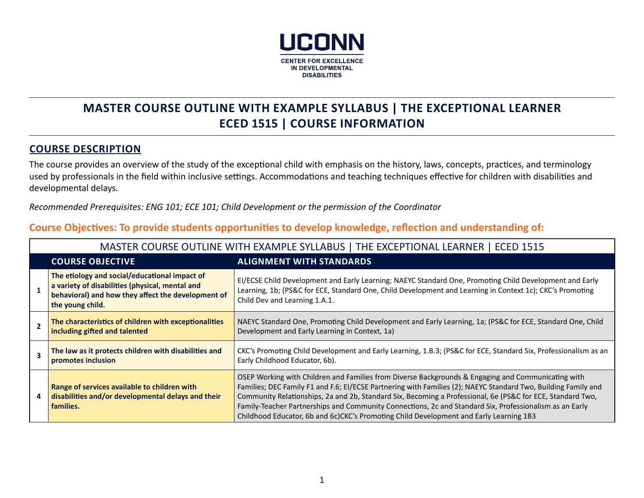

# **MASTER COURSE OUTLINE WITH EXAMPLE SYLLABUS | THE EXCEPTIONAL LEARNER ECED 1515 | COURSE INFORMATION**

### **COURSE DESCRIPTION**

The course provides an overview of the study of the exceptional child with emphasis on the history, laws, concepts, practices, and terminology used by professionals in the field within inclusive settings. Accommodations and teaching techniques effective for children with disabilities and developmental delays.

*Recommended Prerequisites: ENG 101; ECE 101; Child Development or the permission of the Coordinator* 

| MASTER COURSE OUTLINE WITH EXAMPLE SYLLABUS   THE EXCEPTIONAL LEARNER   ECED 1515                                                                                          |                                                                                                                                                                                                                                                                                                                                                                                                                                                                                                                                         |  |  |  |  |  |
|----------------------------------------------------------------------------------------------------------------------------------------------------------------------------|-----------------------------------------------------------------------------------------------------------------------------------------------------------------------------------------------------------------------------------------------------------------------------------------------------------------------------------------------------------------------------------------------------------------------------------------------------------------------------------------------------------------------------------------|--|--|--|--|--|
| <b>COURSE OBJECTIVE</b>                                                                                                                                                    | <b>ALIGNMENT WITH STANDARDS</b>                                                                                                                                                                                                                                                                                                                                                                                                                                                                                                         |  |  |  |  |  |
| The etiology and social/educational impact of<br>a variety of disabilities (physical, mental and<br>behavioral) and how they affect the development of<br>the young child. | EI/ECSE Child Development and Early Learning; NAEYC Standard One, Promoting Child Development and Early<br>Learning, 1b; (PS&C for ECE, Standard One, Child Development and Learning in Context 1c); CKC's Promoting<br>Child Dev and Learning 1.A.1.                                                                                                                                                                                                                                                                                   |  |  |  |  |  |
| The characteristics of children with exceptionalities<br>including gifted and talented                                                                                     | NAEYC Standard One, Promoting Child Development and Early Learning, 1a; (PS&C for ECE, Standard One, Child<br>Development and Early Learning in Context, 1a)                                                                                                                                                                                                                                                                                                                                                                            |  |  |  |  |  |
| The law as it protects children with disabilities and<br>promotes inclusion                                                                                                | CKC's Promoting Child Development and Early Learning, 1.B.3; (PS&C for ECE, Standard Six, Professionalism as an<br>Early Childhood Educator, 6b).                                                                                                                                                                                                                                                                                                                                                                                       |  |  |  |  |  |
| Range of services available to children with<br>disabilities and/or developmental delays and their<br>families.                                                            | OSEP Working with Children and Families from Diverse Backgrounds & Engaging and Communicating with<br>Families; DEC Family F1 and F.6; El/ECSE Partnering with Families (2); NAEYC Standard Two, Building Family and<br>Community Relationships, 2a and 2b, Standard Six, Becoming a Professional, 6e (PS&C for ECE, Standard Two,<br>Family-Teacher Partnerships and Community Connections, 2c and Standard Six, Professionalism as an Early<br>Childhood Educator, 6b and 6c)CKC's Promoting Child Development and Early Learning 1B3 |  |  |  |  |  |

# **Course Objectives: To provide students opportunities to develop knowledge, reflection and understanding of:**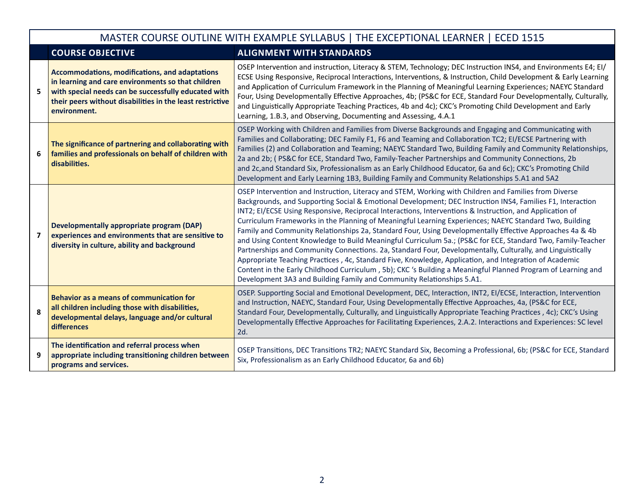#### MASTER COURSE OUTLINE WITH EXAMPLE SYLLABUS | THE EXCEPTIONAL LEARNER | ECED 1515 **COURSE OBJECTIVE ALIGNMENT WITH STANDARDS 5 Accommodations, modifications, and adaptations in learning and care environments so that children with special needs can be successfully educated with their peers without disabilities in the least restrictive environment.** OSEP Intervention and instruction, Literacy & STEM, Technology; DEC Instruction INS4, and Environments E4; EI/ ECSE Using Responsive, Reciprocal Interactions, Interventions, & Instruction, Child Development & Early Learning and Application of Curriculum Framework in the Planning of Meaningful Learning Experiences; NAEYC Standard Four, Using Developmentally Effective Approaches, 4b; (PS&C for ECE, Standard Four Developmentally, Culturally, and Linguistically Appropriate Teaching Practices, 4b and 4c); CKC's Promoting Child Development and Early Learning, 1.B.3, and Observing, Documenting and Assessing, 4.A.1 **6 The significance of partnering and collaborating with families and professionals on behalf of children with disabilities.** OSEP Working with Children and Families from Diverse Backgrounds and Engaging and Communicating with Families and Collaborating; DEC Family F1, F6 and Teaming and Collaboration TC2; EI/ECSE Partnering with Families (2) and Collaboration and Teaming; NAEYC Standard Two, Building Family and Community Relationships, 2a and 2b; ( PS&C for ECE, Standard Two, Family-Teacher Partnerships and Community Connections, 2b and 2c,and Standard Six, Professionalism as an Early Childhood Educator, 6a and 6c); CKC's Promoting Child Development and Early Learning 1B3, Building Family and Community Relationships 5.A1 and 5A2 **7 Developmentally appropriate program (DAP) experiences and environments that are sensitive to diversity in culture, ability and background** OSEP Intervention and Instruction, Literacy and STEM, Working with Children and Families from Diverse Backgrounds, and Supporting Social & Emotional Development; DEC Instruction INS4, Families F1, Interaction INT2; EI/ECSE Using Responsive, Reciprocal Interactions, Interventions & Instruction, and Application of Curriculum Frameworks in the Planning of Meaningful Learning Experiences; NAEYC Standard Two, Building Family and Community Relationships 2a, Standard Four, Using Developmentally Effective Approaches 4a & 4b and Using Content Knowledge to Build Meaningful Curriculum 5a.; (PS&C for ECE, Standard Two, Family-Teacher Partnerships and Community Connections. 2a, Standard Four, Developmentally, Culturally, and Linguistically Appropriate Teaching Practices , 4c, Standard Five, Knowledge, Application, and Integration of Academic Content in the Early Childhood Curriculum , 5b); CKC 's Building a Meaningful Planned Program of Learning and Development 3A3 and Building Family and Community Relationships 5.A1. **8 Behavior as a means of communication for all children including those with disabilities, developmental delays, language and/or cultural differences** OSEP. Supporting Social and Emotional Development, DEC, Interaction, INT2, EI/ECSE, Interaction, Intervention and Instruction, NAEYC, Standard Four, Using Developmentally Effective Approaches, 4a, (PS&C for ECE, Standard Four, Developmentally, Culturally, and Linguistically Appropriate Teaching Practices , 4c); CKC's Using Developmentally Effective Approaches for Facilitating Experiences, 2.A.2. Interactions and Experiences: SC level 2d. **9 The identification and referral process when appropriate including transitioning children between programs and services.** OSEP Transitions, DEC Transitions TR2; NAEYC Standard Six, Becoming a Professional, 6b; (PS&C for ECE, Standard Six, Professionalism as an Early Childhood Educator, 6a and 6b)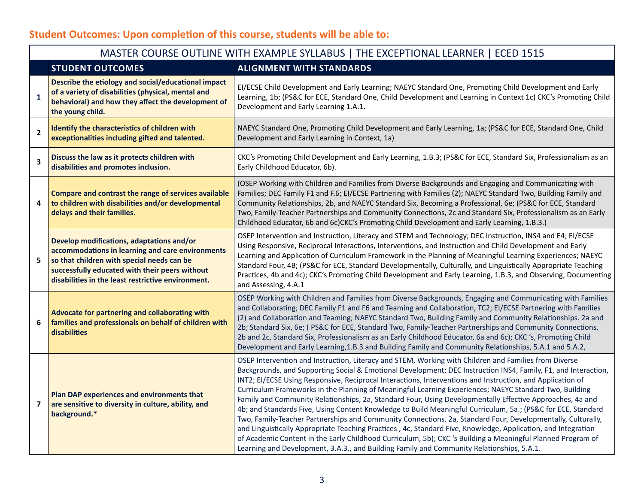# **Student Outcomes: Upon completion of this course, students will be able to:**

|                         | MASTER COURSE OUTLINE WITH EXAMPLE SYLLABUS   THE EXCEPTIONAL LEARNER   ECED 1515                                                                                                                                                                   |                                                                                                                                                                                                                                                                                                                                                                                                                                                                                                                                                                                                                                                                                                                                                                                                                                                                                                                                                                                                                                                                                                                          |  |  |  |
|-------------------------|-----------------------------------------------------------------------------------------------------------------------------------------------------------------------------------------------------------------------------------------------------|--------------------------------------------------------------------------------------------------------------------------------------------------------------------------------------------------------------------------------------------------------------------------------------------------------------------------------------------------------------------------------------------------------------------------------------------------------------------------------------------------------------------------------------------------------------------------------------------------------------------------------------------------------------------------------------------------------------------------------------------------------------------------------------------------------------------------------------------------------------------------------------------------------------------------------------------------------------------------------------------------------------------------------------------------------------------------------------------------------------------------|--|--|--|
|                         | <b>STUDENT OUTCOMES</b>                                                                                                                                                                                                                             | <b>ALIGNMENT WITH STANDARDS</b>                                                                                                                                                                                                                                                                                                                                                                                                                                                                                                                                                                                                                                                                                                                                                                                                                                                                                                                                                                                                                                                                                          |  |  |  |
| $\mathbf 1$             | Describe the etiology and social/educational impact<br>of a variety of disabilities (physical, mental and<br>behavioral) and how they affect the development of<br>the young child.                                                                 | EI/ECSE Child Development and Early Learning; NAEYC Standard One, Promoting Child Development and Early<br>Learning, 1b; (PS&C for ECE, Standard One, Child Development and Learning in Context 1c) CKC's Promoting Child<br>Development and Early Learning 1.A.1.                                                                                                                                                                                                                                                                                                                                                                                                                                                                                                                                                                                                                                                                                                                                                                                                                                                       |  |  |  |
| $\overline{2}$          | Identify the characteristics of children with<br>exceptionalities including gifted and talented.                                                                                                                                                    | NAEYC Standard One, Promoting Child Development and Early Learning, 1a; (PS&C for ECE, Standard One, Child<br>Development and Early Learning in Context, 1a)                                                                                                                                                                                                                                                                                                                                                                                                                                                                                                                                                                                                                                                                                                                                                                                                                                                                                                                                                             |  |  |  |
| $\overline{\mathbf{3}}$ | Discuss the law as it protects children with<br>disabilities and promotes inclusion.                                                                                                                                                                | CKC's Promoting Child Development and Early Learning, 1.B.3; (PS&C for ECE, Standard Six, Professionalism as an<br>Early Childhood Educator, 6b).                                                                                                                                                                                                                                                                                                                                                                                                                                                                                                                                                                                                                                                                                                                                                                                                                                                                                                                                                                        |  |  |  |
| 4                       | Compare and contrast the range of services available<br>to children with disabilities and/or developmental<br>delays and their families.                                                                                                            | (OSEP Working with Children and Families from Diverse Backgrounds and Engaging and Communicating with<br>Families; DEC Family F1 and F.6; EI/ECSE Partnering with Families (2); NAEYC Standard Two, Building Family and<br>Community Relationships, 2b, and NAEYC Standard Six, Becoming a Professional, 6e; (PS&C for ECE, Standard<br>Two, Family-Teacher Partnerships and Community Connections, 2c and Standard Six, Professionalism as an Early<br>Childhood Educator, 6b and 6c)CKC's Promoting Child Development and Early Learning, 1.B.3.)                                                                                                                                                                                                                                                                                                                                                                                                                                                                                                                                                                      |  |  |  |
| 5                       | Develop modifications, adaptations and/or<br>accommodations in learning and care environments<br>so that children with special needs can be<br>successfully educated with their peers without<br>disabilities in the least restrictive environment. | OSEP Intervention and Instruction, Literacy and STEM and Technology; DEC Instruction, INS4 and E4; EI/ECSE<br>Using Responsive, Reciprocal Interactions, Interventions, and Instruction and Child Development and Early<br>Learning and Application of Curriculum Framework in the Planning of Meaningful Learning Experiences; NAEYC<br>Standard Four, 4B; (PS&C for ECE, Standard Developmentally, Culturally, and Linguistically Appropriate Teaching<br>Practices, 4b and 4c); CKC's Promoting Child Development and Early Learning, 1.B.3, and Observing, Documenting<br>and Assessing, 4.A.1                                                                                                                                                                                                                                                                                                                                                                                                                                                                                                                       |  |  |  |
| 6                       | Advocate for partnering and collaborating with<br>families and professionals on behalf of children with<br>disabilities                                                                                                                             | OSEP Working with Children and Families from Diverse Backgrounds, Engaging and Communicating with Families<br>and Collaborating; DEC Family F1 and F6 and Teaming and Collaboration, TC2; EI/ECSE Partnering with Families<br>(2) and Collaboration and Teaming; NAEYC Standard Two, Building Family and Community Relationships. 2a and<br>2b; Standard Six, 6e; (PS&C for ECE, Standard Two, Family-Teacher Partnerships and Community Connections,<br>2b and 2c, Standard Six, Professionalism as an Early Childhood Educator, 6a and 6c); CKC 's, Promoting Child<br>Development and Early Learning, 1.B.3 and Building Family and Community Relationships, 5.A.1 and 5.A.2,                                                                                                                                                                                                                                                                                                                                                                                                                                         |  |  |  |
| 7                       | Plan DAP experiences and environments that<br>are sensitive to diversity in culture, ability, and<br>background.*                                                                                                                                   | OSEP Intervention and Instruction, Literacy and STEM, Working with Children and Families from Diverse<br>Backgrounds, and Supporting Social & Emotional Development; DEC Instruction INS4, Family, F1, and Interaction,<br>INT2; El/ECSE Using Responsive, Reciprocal Interactions, Interventions and Instruction, and Application of<br>Curriculum Frameworks in the Planning of Meaningful Learning Experiences; NAEYC Standard Two, Building<br>Family and Community Relationships, 2a, Standard Four, Using Developmentally Effective Approaches, 4a and<br>4b; and Standards Five, Using Content Knowledge to Build Meaningful Curriculum, 5a.; (PS&C for ECE, Standard<br>Two, Family-Teacher Partnerships and Community Connections. 2a, Standard Four, Developmentally, Culturally,<br>and Linguistically Appropriate Teaching Practices, 4c, Standard Five, Knowledge, Application, and Integration<br>of Academic Content in the Early Childhood Curriculum, 5b); CKC 's Building a Meaningful Planned Program of<br>Learning and Development, 3.A.3., and Building Family and Community Relationships, 5.A.1. |  |  |  |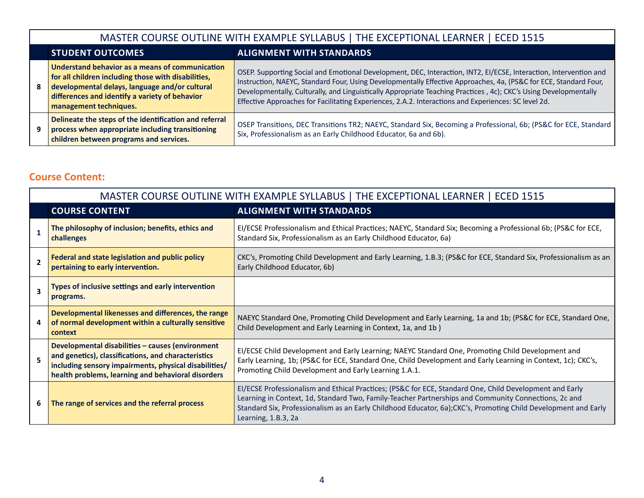| MASTER COURSE OUTLINE WITH EXAMPLE SYLLABUS   THE EXCEPTIONAL LEARNER   ECED 1515                                                                                                                                                    |                                                                                                                                                                                                                                                                                                                                                                                                                                                                   |  |  |  |
|--------------------------------------------------------------------------------------------------------------------------------------------------------------------------------------------------------------------------------------|-------------------------------------------------------------------------------------------------------------------------------------------------------------------------------------------------------------------------------------------------------------------------------------------------------------------------------------------------------------------------------------------------------------------------------------------------------------------|--|--|--|
| <b>STUDENT OUTCOMES</b><br><b>ALIGNMENT WITH STANDARDS</b>                                                                                                                                                                           |                                                                                                                                                                                                                                                                                                                                                                                                                                                                   |  |  |  |
| Understand behavior as a means of communication<br>for all children including those with disabilities,<br>developmental delays, language and/or cultural<br>differences and identify a variety of behavior<br>management techniques. | OSEP. Supporting Social and Emotional Development, DEC, Interaction, INT2, EI/ECSE, Interaction, Intervention and<br>Instruction, NAEYC, Standard Four, Using Developmentally Effective Approaches, 4a, (PS&C for ECE, Standard Four,<br>Developmentally, Culturally, and Linguistically Appropriate Teaching Practices, 4c); CKC's Using Developmentally<br>Effective Approaches for Facilitating Experiences, 2.A.2. Interactions and Experiences: SC level 2d. |  |  |  |
| Delineate the steps of the identification and referral<br>process when appropriate including transitioning<br>children between programs and services.                                                                                | OSEP Transitions, DEC Transitions TR2; NAEYC, Standard Six, Becoming a Professional, 6b; (PS&C for ECE, Standard<br>Six, Professionalism as an Early Childhood Educator, 6a and 6b).                                                                                                                                                                                                                                                                              |  |  |  |

# **Course Content:**

|                         | MASTER COURSE OUTLINE WITH EXAMPLE SYLLABUS   THE EXCEPTIONAL LEARNER   ECED 1515                                                                                                                                      |                                                                                                                                                                                                                                                                                                                                                           |  |  |  |
|-------------------------|------------------------------------------------------------------------------------------------------------------------------------------------------------------------------------------------------------------------|-----------------------------------------------------------------------------------------------------------------------------------------------------------------------------------------------------------------------------------------------------------------------------------------------------------------------------------------------------------|--|--|--|
|                         | <b>COURSE CONTENT</b>                                                                                                                                                                                                  | <b>ALIGNMENT WITH STANDARDS</b>                                                                                                                                                                                                                                                                                                                           |  |  |  |
|                         | The philosophy of inclusion; benefits, ethics and<br>challenges                                                                                                                                                        | EI/ECSE Professionalism and Ethical Practices; NAEYC, Standard Six; Becoming a Professional 6b; (PS&C for ECE,<br>Standard Six, Professionalism as an Early Childhood Educator, 6a)                                                                                                                                                                       |  |  |  |
| $\overline{\mathbf{z}}$ | Federal and state legislation and public policy<br>pertaining to early intervention.                                                                                                                                   | CKC's, Promoting Child Development and Early Learning, 1.B.3; (PS&C for ECE, Standard Six, Professionalism as an<br>Early Childhood Educator, 6b)                                                                                                                                                                                                         |  |  |  |
| $\overline{\mathbf{3}}$ | Types of inclusive settings and early intervention<br>programs.                                                                                                                                                        |                                                                                                                                                                                                                                                                                                                                                           |  |  |  |
| 4                       | Developmental likenesses and differences, the range<br>of normal development within a culturally sensitive<br>context                                                                                                  | NAEYC Standard One, Promoting Child Development and Early Learning, 1a and 1b; (PS&C for ECE, Standard One,<br>Child Development and Early Learning in Context, 1a, and 1b)                                                                                                                                                                               |  |  |  |
| 5                       | Developmental disabilities - causes (environment<br>and genetics), classifications, and characteristics<br>including sensory impairments, physical disabilities/<br>health problems, learning and behavioral disorders | EI/ECSE Child Development and Early Learning; NAEYC Standard One, Promoting Child Development and<br>Early Learning, 1b; (PS&C for ECE, Standard One, Child Development and Early Learning in Context, 1c); CKC's,<br>Promoting Child Development and Early Learning 1.A.1.                                                                               |  |  |  |
| 6                       | The range of services and the referral process                                                                                                                                                                         | EI/ECSE Professionalism and Ethical Practices; (PS&C for ECE, Standard One, Child Development and Early<br>Learning in Context, 1d, Standard Two, Family-Teacher Partnerships and Community Connections, 2c and<br>Standard Six, Professionalism as an Early Childhood Educator, 6a); CKC's, Promoting Child Development and Early<br>Learning, 1.B.3, 2a |  |  |  |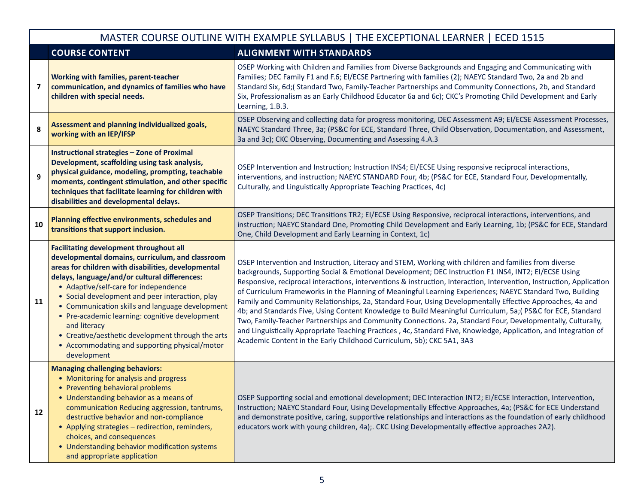|    | MASTER COURSE OUTLINE WITH EXAMPLE SYLLABUS   THE EXCEPTIONAL LEARNER   ECED 1515                                                                                                                                                                                                                                                                                                                                                                                                                                                                |                                                                                                                                                                                                                                                                                                                                                                                                                                                                                                                                                                                                                                                                                                                                                                                                                                                                                                                                                                                             |  |  |  |
|----|--------------------------------------------------------------------------------------------------------------------------------------------------------------------------------------------------------------------------------------------------------------------------------------------------------------------------------------------------------------------------------------------------------------------------------------------------------------------------------------------------------------------------------------------------|---------------------------------------------------------------------------------------------------------------------------------------------------------------------------------------------------------------------------------------------------------------------------------------------------------------------------------------------------------------------------------------------------------------------------------------------------------------------------------------------------------------------------------------------------------------------------------------------------------------------------------------------------------------------------------------------------------------------------------------------------------------------------------------------------------------------------------------------------------------------------------------------------------------------------------------------------------------------------------------------|--|--|--|
|    | <b>COURSE CONTENT</b>                                                                                                                                                                                                                                                                                                                                                                                                                                                                                                                            | <b>ALIGNMENT WITH STANDARDS</b>                                                                                                                                                                                                                                                                                                                                                                                                                                                                                                                                                                                                                                                                                                                                                                                                                                                                                                                                                             |  |  |  |
| 7  | Working with families, parent-teacher<br>communication, and dynamics of families who have<br>children with special needs.                                                                                                                                                                                                                                                                                                                                                                                                                        | OSEP Working with Children and Families from Diverse Backgrounds and Engaging and Communicating with<br>Families; DEC Family F1 and F.6; EI/ECSE Partnering with families (2); NAEYC Standard Two, 2a and 2b and<br>Standard Six, 6d;(Standard Two, Family-Teacher Partnerships and Community Connections, 2b, and Standard<br>Six, Professionalism as an Early Childhood Educator 6a and 6c); CKC's Promoting Child Development and Early<br>Learning, 1.B.3.                                                                                                                                                                                                                                                                                                                                                                                                                                                                                                                              |  |  |  |
| 8  | Assessment and planning individualized goals,<br>working with an IEP/IFSP                                                                                                                                                                                                                                                                                                                                                                                                                                                                        | OSEP Observing and collecting data for progress monitoring, DEC Assessment A9; EI/ECSE Assessment Processes,<br>NAEYC Standard Three, 3a; (PS&C for ECE, Standard Three, Child Observation, Documentation, and Assessment,<br>3a and 3c); CKC Observing, Documenting and Assessing 4.A.3                                                                                                                                                                                                                                                                                                                                                                                                                                                                                                                                                                                                                                                                                                    |  |  |  |
| 9  | <b>Instructional strategies - Zone of Proximal</b><br>Development, scaffolding using task analysis,<br>physical guidance, modeling, prompting, teachable<br>moments, contingent stimulation, and other specific<br>techniques that facilitate learning for children with<br>disabilities and developmental delays.                                                                                                                                                                                                                               | OSEP Intervention and Instruction; Instruction INS4; EI/ECSE Using responsive reciprocal interactions,<br>interventions, and instruction; NAEYC STANDARD Four, 4b; (PS&C for ECE, Standard Four, Developmentally,<br>Culturally, and Linguistically Appropriate Teaching Practices, 4c)                                                                                                                                                                                                                                                                                                                                                                                                                                                                                                                                                                                                                                                                                                     |  |  |  |
| 10 | Planning effective environments, schedules and<br>transitions that support inclusion.                                                                                                                                                                                                                                                                                                                                                                                                                                                            | OSEP Transitions; DEC Transitions TR2; EI/ECSE Using Responsive, reciprocal interactions, interventions, and<br>instruction; NAEYC Standard One, Promoting Child Development and Early Learning, 1b; (PS&C for ECE, Standard<br>One, Child Development and Early Learning in Context, 1c)                                                                                                                                                                                                                                                                                                                                                                                                                                                                                                                                                                                                                                                                                                   |  |  |  |
| 11 | <b>Facilitating development throughout all</b><br>developmental domains, curriculum, and classroom<br>areas for children with disabilities, developmental<br>delays, language/and/or cultural differences:<br>• Adaptive/self-care for independence<br>• Social development and peer interaction, play<br>• Communication skills and language development<br>• Pre-academic learning: cognitive development<br>and literacy<br>• Creative/aesthetic development through the arts<br>• Accommodating and supporting physical/motor<br>development | OSEP Intervention and Instruction, Literacy and STEM, Working with children and families from diverse<br>backgrounds, Supporting Social & Emotional Development; DEC Instruction F1 INS4, INT2; EI/ECSE Using<br>Responsive, reciprocal interactions, interventions & instruction, Interaction, Intervention, Instruction, Application<br>of Curriculum Frameworks in the Planning of Meaningful Learning Experiences; NAEYC Standard Two, Building<br>Family and Community Relationships, 2a, Standard Four, Using Developmentally Effective Approaches, 4a and<br>4b; and Standards Five, Using Content Knowledge to Build Meaningful Curriculum, 5a; (PS&C for ECE, Standard<br>Two, Family-Teacher Partnerships and Community Connections. 2a, Standard Four, Developmentally, Culturally,<br>and Linguistically Appropriate Teaching Practices, 4c, Standard Five, Knowledge, Application, and Integration of<br>Academic Content in the Early Childhood Curriculum, 5b); CKC 5A1, 3A3 |  |  |  |
| 12 | <b>Managing challenging behaviors:</b><br>• Monitoring for analysis and progress<br>• Preventing behavioral problems<br>• Understanding behavior as a means of<br>communication Reducing aggression, tantrums,<br>destructive behavior and non-compliance<br>• Applying strategies - redirection, reminders,<br>choices, and consequences<br>• Understanding behavior modification systems<br>and appropriate application                                                                                                                        | OSEP Supporting social and emotional development; DEC Interaction INT2; EI/ECSE Interaction, Intervention,<br>Instruction; NAEYC Standard Four, Using Developmentally Effective Approaches, 4a; (PS&C for ECE Understand<br>and demonstrate positive, caring, supportive relationships and interactions as the foundation of early childhood<br>educators work with young children, 4a);. CKC Using Developmentally effective approaches 2A2).                                                                                                                                                                                                                                                                                                                                                                                                                                                                                                                                              |  |  |  |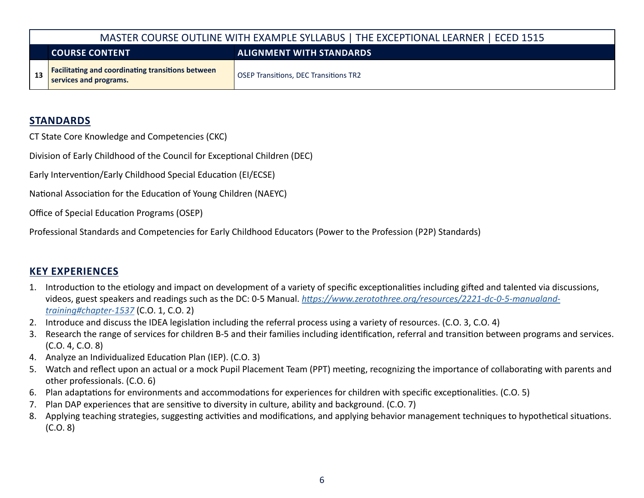| MASTER COURSE OUTLINE WITH EXAMPLE SYLLABUS   THE EXCEPTIONAL LEARNER   ECED 1515  |                                              |  |  |  |  |
|------------------------------------------------------------------------------------|----------------------------------------------|--|--|--|--|
| <b>ALIGNMENT WITH STANDARDS</b><br><b>COURSE CONTENT</b>                           |                                              |  |  |  |  |
| <b>Facilitating and coordinating transitions between</b><br>services and programs. | <b>OSEP Transitions, DEC Transitions TR2</b> |  |  |  |  |

## **STANDARDS**

CT State Core Knowledge and Competencies (CKC)

Division of Early Childhood of the Council for Exceptional Children (DEC)

Early Intervention/Early Childhood Special Education (EI/ECSE)

National Association for the Education of Young Children (NAEYC)

Office of Special Education Programs (OSEP)

Professional Standards and Competencies for Early Childhood Educators (Power to the Profession (P2P) Standards)

## **KEY EXPERIENCES**

- 1. Introduction to the etiology and impact on development of a variety of specific exceptionalities including gifted and talented via discussions, videos, guest speakers and readings such as the DC: 0-5 Manual. *[https://www.zerotothree.org/resources/2221-dc-0-5-manualand](https://www.zerotothree.org/resources/2221-dc-0-5-manual-and-training#chapter-1537)[training#chapter-1537](https://www.zerotothree.org/resources/2221-dc-0-5-manual-and-training#chapter-1537)* (C.O. 1, C.O. 2)
- 2. Introduce and discuss the IDEA legislation including the referral process using a variety of resources. (C.O. 3, C.O. 4)
- 3. Research the range of services for children B-5 and their families including identification, referral and transition between programs and services. (C.O. 4, C.O. 8)
- 4. Analyze an Individualized Education Plan (IEP). (C.O. 3)
- 5. Watch and reflect upon an actual or a mock Pupil Placement Team (PPT) meeting, recognizing the importance of collaborating with parents and other professionals. (C.O. 6)
- 6. Plan adaptations for environments and accommodations for experiences for children with specific exceptionalities. (C.O. 5)
- 7. Plan DAP experiences that are sensitive to diversity in culture, ability and background. (C.O. 7)
- 8. Applying teaching strategies, suggesting activities and modifications, and applying behavior management techniques to hypothetical situations. (C.O. 8)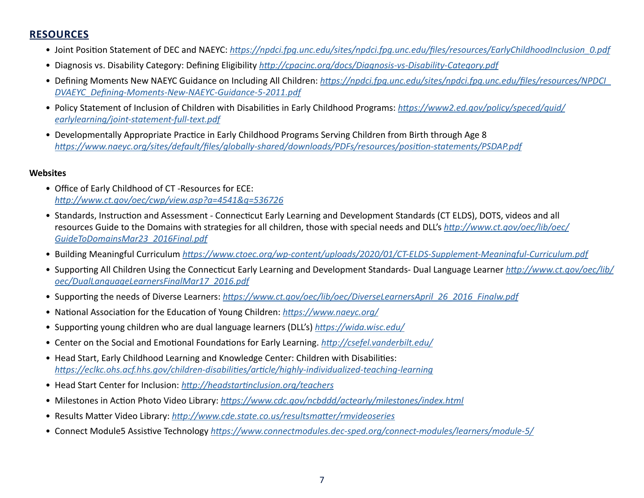# **RESOURCES**

- Joint Position Statement of DEC and NAEYC: *[https://npdci.fpg.unc.edu/sites/npdci.fpg.unc.edu/files/resources/EarlyChildhoodInclusion\\_0.pdf](https://npdci.fpg.unc.edu/sites/npdci.fpg.unc.edu/files/resources/EarlyChildhoodInclusion_0.pdf)*
- Diagnosis vs. Disability Category: Defining Eligibility *[http://cpacinc.org/docs/Diagnosis-vs-Disability-Category.pdf](https://cpacinc.org/docs/Diagnosis-vs-Disability-Category.pdf)*
- Defining Moments New NAEYC Guidance on Including All Children: *[https://npdci.fpg.unc.edu/sites/npdci.fpg.unc.edu/files/resources/NPDCI\\_](https://npdci.fpg.unc.edu/sites/npdci.fpg.unc.edu/files/resources/NPDCI_DVAEYC_Defining-Moments-New-NAEYC-Guidance-5-2011.pdf) [DVAEYC\\_Defining-Moments-New-NAEYC-Guidance-5-2011.pdf](https://npdci.fpg.unc.edu/sites/npdci.fpg.unc.edu/files/resources/NPDCI_DVAEYC_Defining-Moments-New-NAEYC-Guidance-5-2011.pdf)*
- Policy Statement of Inclusion of Children with Disabilities in Early Childhood Programs: *[https://www2.ed.gov/policy/speced/guid/](https://www2.ed.gov/policy/speced/guid/earlylearning/joint-statement-full-text.pdf) [earlylearning/joint-statement-full-text.pdf](https://www2.ed.gov/policy/speced/guid/earlylearning/joint-statement-full-text.pdf)*
- Developmentally Appropriate Practice in Early Childhood Programs Serving Children from Birth through Age 8 *<https://www.naeyc.org/sites/default/files/globally-shared/downloads/PDFs/resources/position-statements/PSDAP.pdf>*

#### **Websites**

- Office of Early Childhood of CT -Resources for ECE: *<http://www.ct.gov/oec/cwp/view.asp?a=4541&q=536726>*
- Standards, Instruction and Assessment Connecticut Early Learning and Development Standards (CT ELDS), DOTS, videos and all resources Guide to the Domains with strategies for all children, those with special needs and DLL's *[http://www.ct.gov/oec/lib/oec/](https://www.ctoec.org/wp-content/uploads/2020/01/CT-ELDS-Supplement-Meaningful-Curriculum.pdf) [GuideToDomainsMar23\\_2016Final.pdf](https://www.ctoec.org/wp-content/uploads/2020/01/CT-ELDS-Supplement-Meaningful-Curriculum.pdf)*
- Building Meaningful Curriculum *<https://www.ctoec.org/wp-content/uploads/2020/01/CT-ELDS-Supplement-Meaningful-Curriculum.pdf>*
- Supporting All Children Using the Connecticut Early Learning and Development Standards- Dual Language Learner *[http://www.ct.gov/oec/lib/](http://www.ct.gov/oec/lib/oec/DualLanguageLearnersFinalMar17_2016.pdf) [oec/DualLanguageLearnersFinalMar17\\_2016.pdf](http://www.ct.gov/oec/lib/oec/DualLanguageLearnersFinalMar17_2016.pdf)*
- Supporting the needs of Diverse Learners: *[https://www.ct.gov/oec/lib/oec/DiverseLearnersApril\\_26\\_2016\\_Finalw.pdf](https://www.ct.gov/oec/lib/oec/DiverseLearnersApril_26_2016_Finalw.pdf)*
- National Association for the Education of Young Children: *<https://www.naeyc.org/>*
- Supporting young children who are dual language learners (DLL's) *<https://wida.wisc.edu/>*
- Center on the Social and Emotional Foundations for Early Learning. *<http://csefel.vanderbilt.edu/>*
- Head Start, Early Childhood Learning and Knowledge Center: Children with Disabilities: *<https://eclkc.ohs.acf.hhs.gov/children-disabilities/article/highly-individualized-teaching-learning>*
- Head Start Center for Inclusion: *<http://headstartinclusion.org/teachers>*
- Milestones in Action Photo Video Library: *<https://www.cdc.gov/ncbddd/actearly/milestones/index.html>*
- Results Matter Video Library: *<http://www.cde.state.co.us/resultsmatter/rmvideoseries>*
- Connect Module5 Assistive Technology *<https://www.connectmodules.dec-sped.org/connect-modules/learners/module-5/>*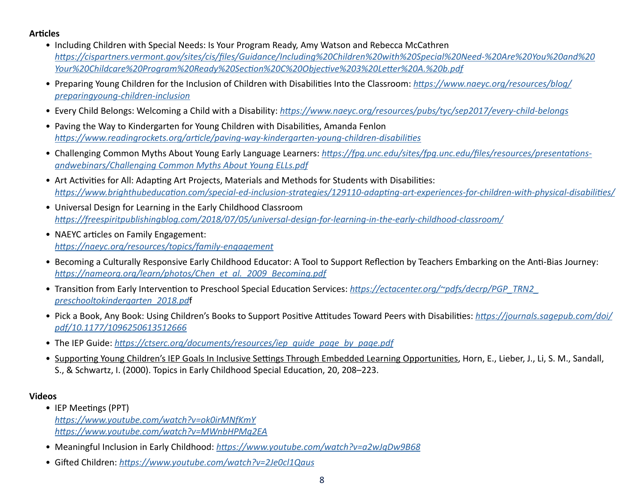#### **Articles**

- Including Children with Special Needs: Is Your Program Ready, Amy Watson and Rebecca McCathren *[https://cispartners.vermont.gov/sites/cis/files/Guidance/Including%20Children%20with%20Special%20Need-%20Are%20You%20and%20](https://cispartners.vermont.gov/sites/cis/files/Guidance/Including%20Children%20with%20Special%20Need-%20Are%20You%20and%20Your%20Childcare%20Program%20Ready%20Section%20C%20Objective%203%20Letter%20A.%20b.pdf) [Your%20Childcare%20Program%20Ready%20Section%20C%20Objective%203%20Letter%20A.%20b.pdf](https://cispartners.vermont.gov/sites/cis/files/Guidance/Including%20Children%20with%20Special%20Need-%20Are%20You%20and%20Your%20Childcare%20Program%20Ready%20Section%20C%20Objective%203%20Letter%20A.%20b.pdf)*
- Preparing Young Children for the Inclusion of Children with Disabilities Into the Classroom: *[https://www.naeyc.org/resources/blog/](https://www.naeyc.org/resources/blog/preparing-young-children-inclusion) [preparingyoung-children-inclusion](https://www.naeyc.org/resources/blog/preparing-young-children-inclusion)*
- Every Child Belongs: Welcoming a Child with a Disability: *<https://www.naeyc.org/resources/pubs/tyc/sep2017/every-child-belongs>*
- Paving the Way to Kindergarten for Young Children with Disabilities, Amanda Fenlon *<https://www.readingrockets.org/article/paving-way-kindergarten-young-children-disabilities>*
- Challenging Common Myths About Young Early Language Learners: *[https://fpg.unc.edu/sites/fpg.unc.edu/files/resources/presentations](https://fpg.unc.edu/sites/fpg.unc.edu/files/resources/presentations-andwebinars/Challenging Common Myths About Young ELLs.pdf)[andwebinars/Challenging Common Myths About Young ELLs.pdf](https://fpg.unc.edu/sites/fpg.unc.edu/files/resources/presentations-andwebinars/Challenging Common Myths About Young ELLs.pdf)*
- Art Activities for All: Adapting Art Projects, Materials and Methods for Students with Disabilities: *<https://www.brighthubeducation.com/special-ed-inclusion-strategies/129110-adapting-art-experiences-for-children-with-physical-disabilities/>*
- Universal Design for Learning in the Early Childhood Classroom *<https://freespiritpublishingblog.com/2018/07/05/universal-design-for-learning-in-the-early-childhood-classroom/>*
- NAEYC articles on Family Engagement: *<https://naeyc.org/resources/topics/family-engagement>*
- Becoming a Culturally Responsive Early Childhood Educator: A Tool to Support Reflection by Teachers Embarking on the Anti-Bias Journey: *[https://nameorg.org/learn/photos/Chen\\_et\\_al.\\_2009\\_Becoming.pdf](https://nameorg.org/learn/photos/Chen_et_al._2009_Becoming.pdf)*
- Transition from Early Intervention to Preschool Special Education Services: *[https://ectacenter.org/~pdfs/decrp/PGP\\_TRN2\\_](https://ectacenter.org/~pdfs/decrp/PGP_TRN2_preschooltokindergarten_2018.pd) [preschooltokindergarten\\_2018.pd](https://ectacenter.org/~pdfs/decrp/PGP_TRN2_preschooltokindergarten_2018.pd)*f
- Pick a Book, Any Book: Using Children's Books to Support Positive Attitudes Toward Peers with Disabilities: *[https://journals.sagepub.com/doi/](https://journals.sagepub.com/doi/pdf/10.1177/1096250613512666) [pdf/10.1177/1096250613512666](https://journals.sagepub.com/doi/pdf/10.1177/1096250613512666)*
- The IEP Guide: *[https://ctserc.org/documents/resources/iep\\_guide\\_page\\_by\\_page.pdf](https://ctserc.org/documents/resources/iep_guide_page_by_page.pdf)*
- Supporting Young Children's IEP Goals In Inclusive Settings Through Embedded Learning Opportunities, Horn, E., Lieber, J., Li, S. M., Sandall, S., & Schwartz, I. (2000). Topics in Early Childhood Special Education, 20, 208–223.

#### **Videos**

- IEP Meetings (PPT) *<https://www.youtube.com/watch?v=ok0irMNfKmY> <https://www.youtube.com/watch?v=MWnbHPMg2EA>*
- Meaningful Inclusion in Early Childhood: *<https://www.youtube.com/watch?v=a2wJqDw9B68>*
- Gifted Children: *<https://www.youtube.com/watch?v=2Je0cl1Qaus>*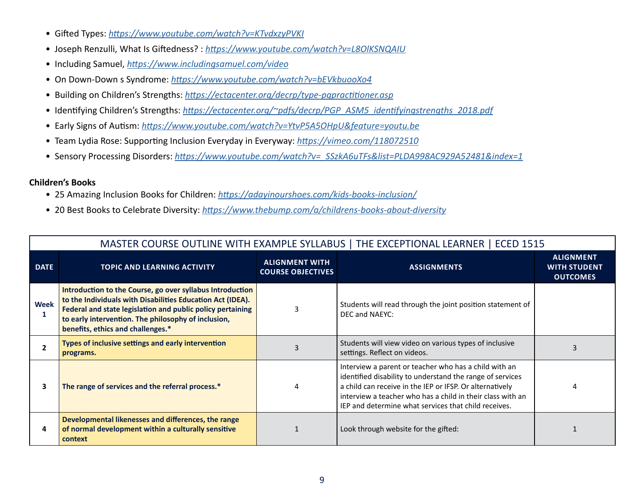- Gifted Types: *<https://www.youtube.com/watch?v=KTvdxzyPVKI>*
- Joseph Renzulli, What Is Giftedness? : *<https://www.youtube.com/watch?v=L8OlKSNQAIU>*
- Including Samuel, *<https://www.includingsamuel.com/video>*
- On Down-Down s Syndrome: *<https://www.youtube.com/watch?v=bEVkbuooXo4>*
- Building on Children's Strengths: *<https://ectacenter.org/decrp/type-pgpractitioner.asp>*
- Identifying Children's Strengths: *[https://ectacenter.org/~pdfs/decrp/PGP\\_ASM5\\_identifyingstrengths\\_2018.pdf](https://ectacenter.org/~pdfs/decrp/PGP_ASM5_identifyingstrengths_2018.pdf)*
- Early Signs of Autism: *<https://www.youtube.com/watch?v=YtvP5A5OHpU&feature=youtu.be>*
- Team Lydia Rose: Supporting Inclusion Everyday in Everyway: *<https://vimeo.com/118072510>*
- Sensory Processing Disorders: *[https://www.youtube.com/watch?v=\\_SSzkA6uTFs&list=PLDA998AC929A52481&index=1](https://www.youtube.com/watch?v=_SSzkA6uTFs&list=PLDA998AC929A52481&index=1)*

#### **Children's Books**

- 25 Amazing Inclusion Books for Children: *<https://adayinourshoes.com/kids-books-inclusion/>*
- 20 Best Books to Celebrate Diversity: *<https://www.thebump.com/a/childrens-books-about-diversity>*

| MASTER COURSE OUTLINE WITH EXAMPLE SYLLABUS   THE EXCEPTIONAL LEARNER   ECED 1515 |                                                                                                                                                                                                                                                                                   |                                                   |                                                                                                                                                                                                                                                                                                      |                                                            |  |
|-----------------------------------------------------------------------------------|-----------------------------------------------------------------------------------------------------------------------------------------------------------------------------------------------------------------------------------------------------------------------------------|---------------------------------------------------|------------------------------------------------------------------------------------------------------------------------------------------------------------------------------------------------------------------------------------------------------------------------------------------------------|------------------------------------------------------------|--|
| <b>DATE</b>                                                                       | <b>TOPIC AND LEARNING ACTIVITY</b>                                                                                                                                                                                                                                                | <b>ALIGNMENT WITH</b><br><b>COURSE OBJECTIVES</b> | <b>ASSIGNMENTS</b>                                                                                                                                                                                                                                                                                   | <b>ALIGNMENT</b><br><b>WITH STUDENT</b><br><b>OUTCOMES</b> |  |
| Week<br>1                                                                         | Introduction to the Course, go over syllabus Introduction<br>to the Individuals with Disabilities Education Act (IDEA).<br>Federal and state legislation and public policy pertaining<br>to early intervention. The philosophy of inclusion,<br>benefits, ethics and challenges.* | 3                                                 | Students will read through the joint position statement of<br>DEC and NAEYC:                                                                                                                                                                                                                         |                                                            |  |
| $\mathbf{2}$                                                                      | Types of inclusive settings and early intervention<br>programs.                                                                                                                                                                                                                   |                                                   | Students will view video on various types of inclusive<br>settings. Reflect on videos.                                                                                                                                                                                                               |                                                            |  |
| 3                                                                                 | The range of services and the referral process.*                                                                                                                                                                                                                                  | 4                                                 | Interview a parent or teacher who has a child with an<br>identified disability to understand the range of services<br>a child can receive in the IEP or IFSP. Or alternatively<br>interview a teacher who has a child in their class with an<br>IEP and determine what services that child receives. | 4                                                          |  |
| 4                                                                                 | Developmental likenesses and differences, the range<br>of normal development within a culturally sensitive<br>context                                                                                                                                                             |                                                   | Look through website for the gifted:                                                                                                                                                                                                                                                                 |                                                            |  |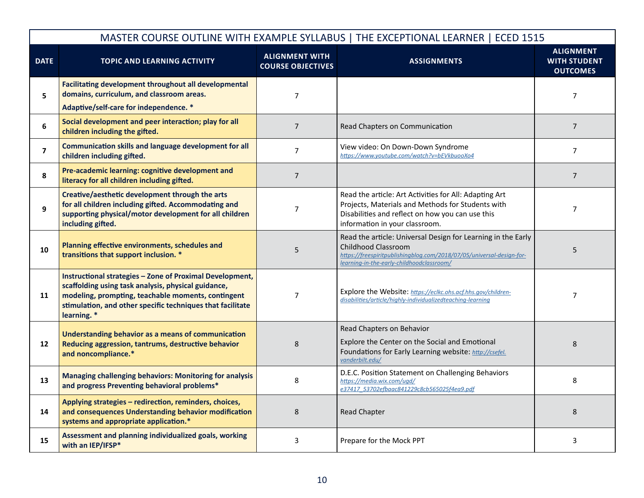|                         |                                                                                                                                                                                                                                                    | MASTER COURSE OUTLINE WITH EXAMPLE SYLLABUS   THE EXCEPTIONAL LEARNER   ECED 1515 |                                                                                                                                                                                                           |                                                            |
|-------------------------|----------------------------------------------------------------------------------------------------------------------------------------------------------------------------------------------------------------------------------------------------|-----------------------------------------------------------------------------------|-----------------------------------------------------------------------------------------------------------------------------------------------------------------------------------------------------------|------------------------------------------------------------|
| <b>DATE</b>             | <b>TOPIC AND LEARNING ACTIVITY</b>                                                                                                                                                                                                                 | <b>ALIGNMENT WITH</b><br><b>COURSE OBJECTIVES</b>                                 | <b>ASSIGNMENTS</b>                                                                                                                                                                                        | <b>ALIGNMENT</b><br><b>WITH STUDENT</b><br><b>OUTCOMES</b> |
| $\overline{\mathbf{5}}$ | <b>Facilitating development throughout all developmental</b><br>domains, curriculum, and classroom areas.<br>Adaptive/self-care for independence. *                                                                                                | $\overline{7}$                                                                    |                                                                                                                                                                                                           | $\overline{7}$                                             |
| $\boldsymbol{6}$        | Social development and peer interaction; play for all<br>children including the gifted.                                                                                                                                                            | $\overline{7}$                                                                    | Read Chapters on Communication                                                                                                                                                                            | $\overline{7}$                                             |
| $\overline{\mathbf{z}}$ | <b>Communication skills and language development for all</b><br>children including gifted.                                                                                                                                                         | $\overline{7}$                                                                    | View video: On Down-Down Syndrome<br>https://www.youtube.com/watch?v=bEVkbuooXo4                                                                                                                          | $\overline{7}$                                             |
| 8                       | Pre-academic learning: cognitive development and<br>literacy for all children including gifted.                                                                                                                                                    | $\overline{7}$                                                                    |                                                                                                                                                                                                           | $\overline{7}$                                             |
| 9                       | Creative/aesthetic development through the arts<br>for all children including gifted. Accommodating and<br>supporting physical/motor development for all children<br>including gifted.                                                             | $\overline{7}$                                                                    | Read the article: Art Activities for All: Adapting Art<br>Projects, Materials and Methods for Students with<br>Disabilities and reflect on how you can use this<br>information in your classroom.         | $\overline{7}$                                             |
| 10                      | Planning effective environments, schedules and<br>transitions that support inclusion. *                                                                                                                                                            | 5                                                                                 | Read the article: Universal Design for Learning in the Early<br>Childhood Classroom<br>https://freespiritpublishingblog.com/2018/07/05/universal-design-for-<br>learning-in-the-early-childhoodclassroom/ | 5                                                          |
| 11                      | Instructional strategies - Zone of Proximal Development,<br>scaffolding using task analysis, physical guidance,<br>modeling, prompting, teachable moments, contingent<br>stimulation, and other specific techniques that facilitate<br>learning. * | $\overline{7}$                                                                    | Explore the Website: https://eclkc.ohs.acf.hhs.gov/children-<br>disabilities/article/highly-individualizedteaching-learning                                                                               | $\overline{7}$                                             |
| 12                      | <b>Understanding behavior as a means of communication</b><br>Reducing aggression, tantrums, destructive behavior<br>and noncompliance.*                                                                                                            | 8                                                                                 | Read Chapters on Behavior<br>Explore the Center on the Social and Emotional<br>Foundations for Early Learning website: http://csefel.<br>vanderbilt.edu/                                                  | 8                                                          |
| 13                      | <b>Managing challenging behaviors: Monitoring for analysis</b><br>and progress Preventing behavioral problems*                                                                                                                                     | 8                                                                                 | D.E.C. Position Statement on Challenging Behaviors<br>https://media.wix.com/ugd/<br>e37417 53702efbaac841229c8cb565025f4ea9.pdf                                                                           | 8                                                          |
| 14                      | Applying strategies - redirection, reminders, choices,<br>and consequences Understanding behavior modification<br>systems and appropriate application.*                                                                                            | $\,8\,$                                                                           | <b>Read Chapter</b>                                                                                                                                                                                       | 8                                                          |
| 15                      | Assessment and planning individualized goals, working<br>with an IEP/IFSP*                                                                                                                                                                         | 3                                                                                 | Prepare for the Mock PPT                                                                                                                                                                                  | 3                                                          |